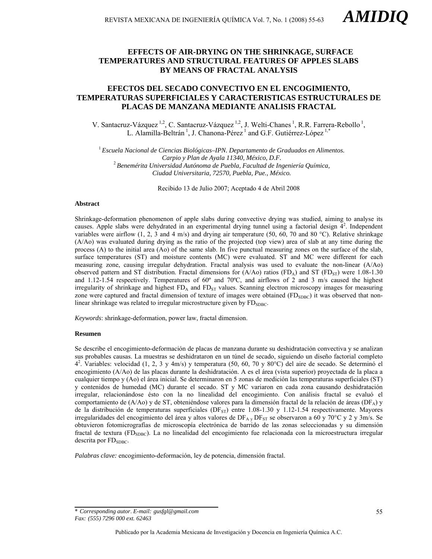# **EFFECTS OF AIR-DRYING ON THE SHRINKAGE, SURFACE TEMPERATURES AND STRUCTURAL FEATURES OF APPLES SLABS BY MEANS OF FRACTAL ANALYSIS**

# **EFECTOS DEL SECADO CONVECTIVO EN EL ENCOGIMIENTO, TEMPERATURAS SUPERFICIALES Y CARACTERISTICAS ESTRUCTURALES DE PLACAS DE MANZANA MEDIANTE ANALISIS FRACTAL**

V. Santacruz-Vázquez<sup>1,2</sup>, C. Santacruz-Vázquez<sup>1,2</sup>, J. Welti-Chanes<sup>1</sup>, R.R. Farrera-Rebollo<sup>1</sup>, L. Alamilla-Beltrán<sup>1</sup>, J. Chanona-Pérez<sup>1</sup> and G.F. Gutiérrez-López<sup>1,\*</sup>

<sup>1</sup>*Escuela Nacional de Ciencias Biológicas–IPN. Departamento de Graduados en Alimentos. Carpio y Plan de Ayala 11340, México, D.F.* <sup>2</sup>*Benemérita Universidad Autónoma de Puebla, Facultad de Ingeniería Química, Ciudad Universitaria, 72570, Puebla, Pue., México.* 

Recibido 13 de Julio 2007; Aceptado 4 de Abril 2008

### **Abstract**

Shrinkage-deformation phenomenon of apple slabs during convective drying was studied, aiming to analyse its causes. Apple slabs were dehydrated in an experimental drying tunnel using a factorial design  $\bar{4}^2$ . Independent variables were airflow  $(1, 2, 3 \text{ and } 4 \text{ m/s})$  and drying air temperature (50, 60, 70 and 80 °C). Relative shrinkage (A/Ao) was evaluated during drying as the ratio of the projected (top view) area of slab at any time during the process (A) to the initial area (Ao) of the same slab. In five punctual measuring zones on the surface of the slab, surface temperatures (ST) and moisture contents (MC) were evaluated. ST and MC were different for each measuring zone, causing irregular dehydration. Fractal analysis was used to evaluate the non-linear (A/Ao) observed pattern and ST distribution. Fractal dimensions for  $(A/A<sub>O</sub>)$  ratios (FD<sub>A</sub>) and ST (FD<sub>ST</sub>) were 1.08-1.30 and 1.12-1.54 respectively. Temperatures of 60º and 70ºC, and airflows of 2 and 3 m/s caused the highest irregularity of shrinkage and highest  $FD_A$  and  $FD_{ST}$  values. Scanning electron microscopy images for measuring zone were captured and fractal dimension of texture of images were obtained (FD<sub>SDBC</sub>) it was observed that nonlinear shrinkage was related to irregular microstructure given by  $FD_{SDBC}$ .

*Keywords*: shrinkage-deformation, power law, fractal dimension.

### **Resumen**

Se describe el encogimiento-deformación de placas de manzana durante su deshidratación convectiva y se analizan sus probables causas. La muestras se deshidrataron en un túnel de secado, siguiendo un diseño factorial completo 42 . Variables: velocidad (1, 2, 3 y 4m/s) y temperatura (50, 60, 70 y 80°C) del aire de secado. Se determinó el encogimiento (A/Ao) de las placas durante la deshidratación. A es el área (vista superior) proyectada de la placa a cualquier tiempo y (Ao) el área inicial. Se determinaron en 5 zonas de medición las temperaturas superficiales (ST) y contenidos de humedad (MC) durante el secado. ST y MC variaron en cada zona causando deshidratación irregular, relacionándose ésto con la no linealidad del encogimiento. Con análisis fractal se evaluó el comportamiento de (A/Ao) y de ST, obteniéndose valores para la dimensión fractal de la relación de áreas (DF<sub>A</sub>) y de la distribución de temperaturas superficiales ( $DF_{ST}$ ) entre 1.08-1.30 y 1.12-1.54 respectivamente. Mayores irregularidades del encogimiento del área y altos valores de DF<sub>A y</sub> DF<sub>ST</sub> se observaron a 60 y 70°C y 2 y 3m/s. Se obtuvieron fotomicrografías de microscopía electrónica de barrido de las zonas seleccionadas y su dimensión fractal de textura (FD<sub>SDBC</sub>). La no linealidad del encogimiento fue relacionada con la microestructura irregular descrita por  $FD<sub>SDBC</sub>$ .

*Palabras clave:* encogimiento-deformación, ley de potencia, dimensión fractal.

\* *Corresponding autor*. *E-mail: gusfgl@gmail.com Fax: (555) 7296 000 ext. 62463*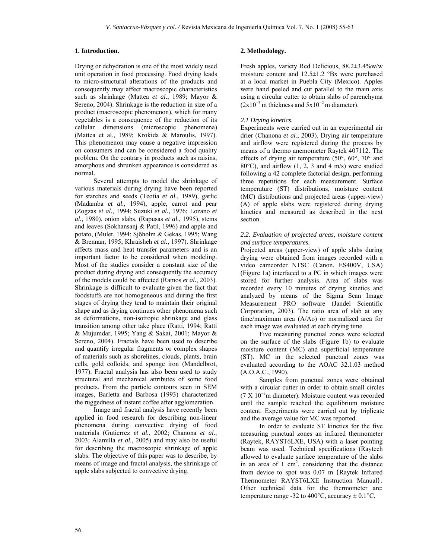## **1. Introduction.**

Drying or dehydration is one of the most widely used unit operation in food processing. Food drying leads to micro-structural alterations of the products and consequently may affect macroscopic characteristics such as shrinkage (Mattea *et al*., 1989; Mayor & Sereno, 2004). Shrinkage is the reduction in size of a product (macroscopic phenomenon), which for many vegetables is a consequence of the reduction of its cellular dimensions (microscopic phenomena) (Mattea et al., 1989; Krokida & Maroulis, 1997). This phenomenon may cause a negative impression on consumers and can be considered a food quality problem. On the contrary in products such as raisins, amorphous and shrunken appearance is considered as normal.

Several attempts to model the shrinkage of various materials during drying have been reported for starches and seeds (Teotia *et al.*, 1989), garlic (Madamba *et al.*, 1994), apple, carrot and pear (Zogzas *et al.*, 1994; Suzuki *et al.*, 1976; Lozano *et al.*, 1980), onion slabs, (Rapusas *et al.*, 1995), stems and leaves (Sokhansanj & Patil, 1996) and apple and potato, (Mulet, 1994; Sjöholm & Gekas, 1995; Wang & Brennan, 1995; Khraisheh *et al.*, 1997). Shrinkage affects mass and heat transfer parameters and is an important factor to be considered when modeling. Most of the studies consider a constant size of the product during drying and consequently the accuracy of the models could be affected (Ramos *et al.*, 2003). Shrinkage is difficult to evaluate given the fact that foodstuffs are not homogeneous and during the first stages of drying they tend to maintain their original shape and as drying continues other phenomena such as deformations, non-isotropic shrinkage and glass transition among other take place (Ratti, 1994; Ratti & Mujumdar, 1995; Yang & Sakai, 2001; Mayor & Sereno, 2004). Fractals have been used to describe and quantify irregular fragments or complex shapes of materials such as shorelines, clouds, plants, brain cells, gold colloids, and sponge iron (Mandelbrot, 1977). Fractal analysis has also been used to study structural and mechanical attributes of some food products. From the particle contours seen in SEM images, Barletta and Barbosa (1993) characterized the ruggedness of instant coffee after agglomeration.

Image and fractal analysis have recently been applied in food research for describing non-linear phenomena during convective drying of food materials (Gutierrez *et al.*, 2002; Chanona *et al.*, 2003; Alamilla *et al.*, 2005) and may also be useful for describing the macroscopic shrinkage of apple slabs. The objective of this paper was to describe, by means of image and fractal analysis, the shrinkage of apple slabs subjected to convective drying.

# **2. Methodology.**

Fresh apples, variety Red Delicious, 88.2±3.4%w/w moisture content and 12.5±1.2 °Bx were purchased at a local market in Puebla City (Mexico). Apples were hand peeled and cut parallel to the main axis using a circular cutter to obtain slabs of parenchyma  $(2x10^{-3} \text{ m thickness and } 5x10^{-2} \text{ m diameter}).$ 

# *2.1 Drying kinetics.*

Experiments were carried out in an experimental air drier (Chanona *et al.*, 2003). Drying air temperature and airflow were registered during the process by means of a thermo anemometer Raytek 407112. The effects of drying air temperature (50°, 60°, 70° and 80°C), and airflow (1, 2, 3 and 4 m/s) were studied following a 42 complete factorial design, performing three repetitions for each measurement. Surface temperature (ST) distributions, moisture content (MC) distributions and projected areas (upper-view) (A) of apple slabs were registered during drying kinetics and measured as described in the next section.

# *2.2. Evaluation of projected areas, moisture content and surface temperatures.*

Projected areas (upper-view) of apple slabs during drying were obtained from images recorded with a video camcorder NTSC (Canon, ES400V, USA) (Figure 1a) interfaced to a PC in which images were stored for further analysis. Area of slabs was recorded every 10 minutes of drying kinetics and analyzed by means of the Sigma Scan Image Measurement PRO software (Jandel Scientific Corporation, 2003). The ratio area of slab at any time/maximum area (A/Ao) or normalized area for each image was evaluated at each drying time.

Five measuring punctual zones were selected on the surface of the slabs (Figure 1b) to evaluate moisture content (MC) and superficial temperature (ST). MC in the selected punctual zones was evaluated according to the AOAC 32.1.03 method (A.O.A.C., 1990).

Samples from punctual zones were obtained with a circular cutter in order to obtain small circles (7 X 10<sup>−</sup><sup>3</sup> m diameter). Moisture content was recorded until the sample reached the equilibrium moisture content. Experiments were carried out by triplicate and the average value for MC was reported.

In order to evaluate ST kinetics for the five measuring punctual zones an infrared thermometer (Raytek, RAYST6LXE, USA) with a laser pointing beam was used. Technical specifications (Raytech allowed to evaluate surface temperature of the slabs in an area of 1 cm<sup>2</sup>, considering that the distance from device to spot was 0.07 m (Raytek Infrared Thermometer RAYST6LXE Instruction Manual). Other technical data for the thermometer are: temperature range -32 to 400 $^{\circ}$ C, accuracy  $\pm$  0.1 $^{\circ}$ C,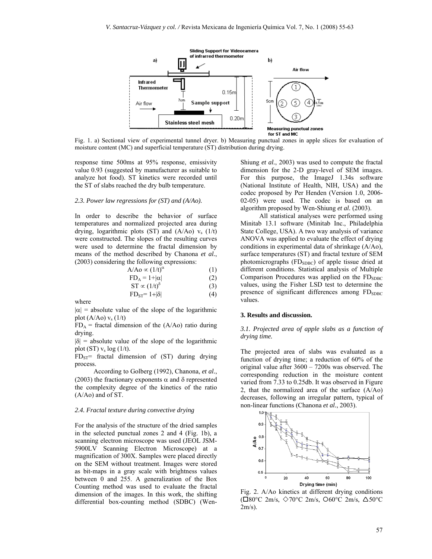

Fig. 1. a) Sectional view of experimental tunnel dryer. b) Measuring punctual zones in apple slices for evaluation of moisture content (MC) and superficial temperature (ST) distribution during drying.

response time 500ms at 95% response, emissivity value 0.93 (suggested by manufacturer as suitable to analyze hot food). ST kinetics were recorded until the ST of slabs reached the dry bulb temperature.

#### *2.3. Power law regressions for (ST) and (A/Ao).*

In order to describe the behavior of surface temperatures and normalized projected area during drying, logarithmic plots  $(ST)$  and  $(A/Ao)$   $v_s$   $(1/t)$ were constructed. The slopes of the resulting curves were used to determine the fractal dimension by means of the method described by Chanona *et al.*, (2003) considering the following expressions:

| $A/Ao \propto (1/t)^{\alpha}$ | (1) |
|-------------------------------|-----|
| $FD_A = 1 +  \alpha $         | (2) |
| $ST \propto (1/t)^{\delta}$   | (3) |
| $FD_{ST} = 1 +  \delta $      | (4) |

where

 $|\alpha|$  = absolute value of the slope of the logarithmic plot  $(A/Ao) v_s (1/t)$ 

 $FD_A$  = fractal dimension of the (A/Ao) ratio during drying.

 $|\delta|$  = absolute value of the slope of the logarithmic plot (ST)  $v_s \log(1/t)$ .

 $FD_{ST}$ = fractal dimension of (ST) during drying process.

According to Golberg (1992), Chanona, *et al.*, (2003) the fractionary exponents  $\alpha$  and  $\delta$  represented the complexity degree of the kinetics of the ratio (A/Ao) and of ST.

#### *2.4. Fractal texture during convective drying*

For the analysis of the structure of the dried samples in the selected punctual zones 2 and 4 (Fig. 1b), a scanning electron microscope was used (JEOL JSM-5900LV Scanning Electron Microscope) at a magnification of 300X. Samples were placed directly on the SEM without treatment. Images were stored as bit-maps in a gray scale with brightness values between 0 and 255. A generalization of the Box Counting method was used to evaluate the fractal dimension of the images. In this work, the shifting differential box-counting method (SDBC) (WenShiung *et al.*, 2003) was used to compute the fractal dimension for the 2-D gray-level of SEM images. For this purpose, the ImageJ 1.34s software (National Institute of Health, NIH, USA) and the codec proposed by Per Henden (Version 1.0, 2006- 02-05) were used. The codec is based on an algorithm proposed by Wen-Shiung *et al.* (2003).

All statistical analyses were performed using Minitab 13.1 software (Minitab Inc., Philadelphia State College, USA). A two way analysis of variance ANOVA was applied to evaluate the effect of drying conditions in experimental data of shrinkage (A/Ao), surface temperatures (ST) and fractal texture of SEM photomicrographs  $(FD<sub>SDBC</sub>)$  of apple tissue dried at different conditions. Statistical analysis of Multiple Comparison Procedures was applied on the  $FD<sub>SDBC</sub>$ values, using the Fisher LSD test to determine the presence of significant differences among  $FD<sub>SDBC</sub>$ values.

### **3. Results and discussion.**

*3.1. Projected area of apple slabs as a function of drying time.* 

The projected area of slabs was evaluated as a function of drying time; a reduction of 60% of the original value after 3600 – 7200s was observed. The corresponding reduction in the moisture content varied from 7.33 to 0.25db. It was observed in Figure 2, that the normalized area of the surface (A/Ao) decreases, following an irregular pattern, typical of non-linear functions (Chanona *et al.*, 2003).



Fig. 2. A/Ao kinetics at different drying conditions ( $\square 80^{\circ}$ C 2m/s,  $\lozenge 70^{\circ}$ C 2m/s,  $\square 60^{\circ}$ C 2m/s,  $\triangle 50^{\circ}$ C  $2m/s$ ).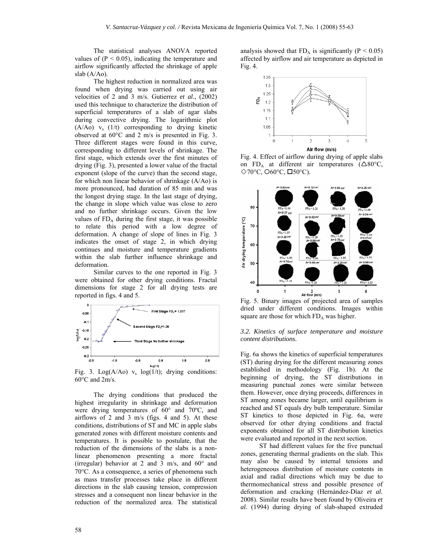The statistical analyses ANOVA reported values of  $(P < 0.05)$ , indicating the temperature and airflow significantly affected the shrinkage of apple slab (A/Ao).

The highest reduction in normalized area was found when drying was carried out using air velocities of 2 and 3 m/s. Gutierrez *et al.*, (2002) used this technique to characterize the distribution of superficial temperatures of a slab of agar slabs during convective drying. The logarithmic plot  $(A/Ao)$  v<sub>s</sub>  $(1/t)$  corresponding to drying kinetic observed at 60°C and 2 m/s is presented in Fig. 3. Three different stages were found in this curve, corresponding to different levels of shrinkage. The first stage, which extends over the first minutes of drying (Fig. 3), presented a lower value of the fractal exponent (slope of the curve) than the second stage, for which non linear behavior of shrinkage (A/Ao) is more pronounced, had duration of 85 min and was the longest drying stage. In the last stage of drying, the change in slope which value was close to zero and no further shrinkage occurs. Given the low values of  $FD_A$  during the first stage, it was possible to relate this period with a low degree of deformation. A change of slope of lines in Fig. 3 indicates the onset of stage 2, in which drying continues and moisture and temperature gradients within the slab further influence shrinkage and deformation.

Similar curves to the one reported in Fig. 3 were obtained for other drying conditions. Fractal dimensions for stage 2 for all drying tests are reported in figs. 4 and 5.



Fig. 3. Log( $A/Ao$ )  $v_s$  log( $1/t$ ); drying conditions: 60°C and 2m/s.

The drying conditions that produced the highest irregularity in shrinkage and deformation were drying temperatures of 60° and 70ºC, and airflows of 2 and 3 m/s (figs. 4 and 5). At these conditions, distributions of ST and MC in apple slabs generated zones with different moisture contents and temperatures. It is possible to postulate, that the reduction of the dimensions of the slabs is a nonlinear phenomenon presenting a more fractal (irregular) behavior at 2 and 3 m/s, and 60° and 70°C. As a consequence, a series of phenomena such as mass transfer processes take place in different directions in the slab causing tension, compression stresses and a consequent non linear behavior in the reduction of the normalized area. The statistical

analysis showed that  $FD_A$  is significantly ( $P < 0.05$ ) affected by airflow and air temperature as depicted in Fig. 4.



Fig. 4. Effect of airflow during drying of apple slabs on  $FD_A$  at different air temperatures ( $\triangle 80^{\circ}C$ ,  $\Diamond$ 70°C,  $\bigcirc$ 60°C,  $\Box$ 50°C).



Fig. 5. Binary images of projected area of samples dried under different conditions. Images within square are those for which  $FD_A$  was higher.

### *3.2. Kinetics of surface temperature and moisture content distributions.*

Fig. 6a shows the kinetics of superficial temperatures (ST) during drying for the different measuring zones established in methodology (Fig. 1b). At the beginning of drying, the ST distributions in measuring punctual zones were similar between them. However, once drying proceeds, differences in ST among zones became larger, until equilibrium is reached and ST equals dry bulb temperature. Similar ST kinetics to those depicted in Fig. 6a, were observed for other drying conditions and fractal exponents obtained for all ST distribution kinetics were evaluated and reported in the next section.

ST had different values for the five punctual zones, generating thermal gradients on the slab. This may also be caused by internal tensions and heterogeneous distribution of moisture contents in axial and radial directions which may be due to thermomechanical stress and possible presence of deformation and cracking (Hernández-Díaz *et al.* 2008). Similar results have been found by Oliveira *et al.* (1994) during drying of slab-shaped extruded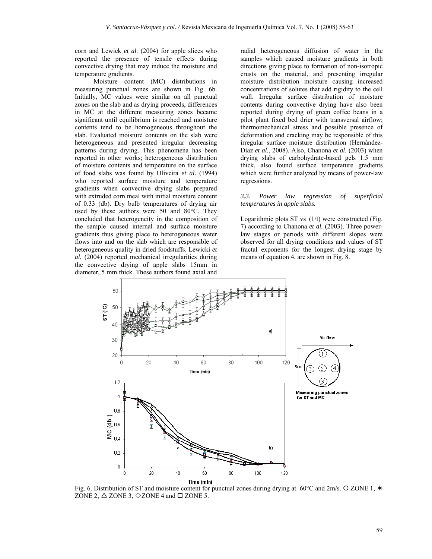corn and Lewick *et al.* (2004) for apple slices who reported the presence of tensile effects during convective drying that may induce the moisture and temperature gradients.

Moisture content (MC) distributions in measuring punctual zones are shown in Fig. 6b. Initially, MC values were similar on all punctual zones on the slab and as drying proceeds, differences in MC at the different measuring zones became significant until equilibrium is reached and moisture contents tend to be homogeneous throughout the slab. Evaluated moisture contents on the slab were heterogeneous and presented irregular decreasing patterns during drying. This phenomena has been reported in other works; heterogeneous distribution of moisture contents and temperature on the surface of food slabs was found by Oliveira *et al.* (1994) who reported surface moisture and temperature gradients when convective drying slabs prepared with extruded corn meal with initial moisture content of 0.33 (db). Dry bulb temperatures of drying air used by these authors were 50 and 80°C. They concluded that heterogeneity in the composition of the sample caused internal and surface moisture gradients thus giving place to heterogeneous water flows into and on the slab which are responsible of heterogeneous quality in dried foodstuffs. Lewicki *et al.* (2004) reported mechanical irregularities during the convective drying of apple slabs 15mm in diameter, 5 mm thick. These authors found axial and

radial heterogeneous diffusion of water in the samples which caused moisture gradients in both directions giving place to formation of non-isotropic crusts on the material, and presenting irregular moisture distribution moisture causing increased concentrations of solutes that add rigidity to the cell wall. Irregular surface distribution of moisture contents during convective drying have also been reported during drying of green coffee beans in a pilot plant fixed bed drier with transversal airflow; thermomechanical stress and possible presence of deformation and cracking may be responsible of this irregular surface moisture distribution (Hernández-Díaz *et al.*, 2008). Also, Chanona *et al.* (2003) when drying slabs of carbohydrate-based gels 1.5 mm thick, also found surface temperature gradients which were further analyzed by means of power-law regressions.

### *3.3. Power law regression of superficial temperatures in apple slabs.*

Logarithmic plots ST vs.  $(1/t)$  were constructed (Fig. 7) according to Chanona *et al.* (2003). Three powerlaw stages or periods with different slopes were observed for all drying conditions and values of ST fractal exponents for the longest drying stage by means of equation 4, are shown in Fig. 8.



Fig. 6. Distribution of ST and moisture content for punctual zones during drying at 60°C and 2m/s.  $\circ$  ZONE 1,  $*$ ZONE 2,  $\triangle$  ZONE 3,  $\Diamond$  ZONE 4 and  $\Box$  ZONE 5.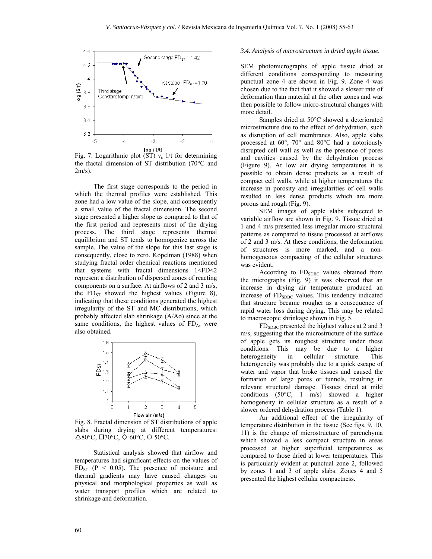

 $\log(1/t)$ <br>Fig. 7. Logarithmic plot (ST)  $v_s$  1/t for determining the fractal dimension of ST distribution (70°C and  $2m/s$ ).

The first stage corresponds to the period in which the thermal profiles were established. This zone had a low value of the slope, and consequently a small value of the fractal dimension. The second stage presented a higher slope as compared to that of the first period and represents most of the drying process. The third stage represents thermal equilibrium and ST tends to homogenize across the sample. The value of the slope for this last stage is consequently, close to zero. Kopelman (1988) when studying fractal order chemical reactions mentioned that systems with fractal dimensions 1<FD<2 represent a distribution of dispersed zones of reacting components on a surface. At airflows of 2 and 3 m/s, the  $FD_{ST}$  showed the highest values (Figure 8), indicating that these conditions generated the highest irregularity of the ST and MC distributions, which probably affected slab shrinkage (A/Ao) since at the same conditions, the highest values of  $FD_A$ , were also obtained.



Fig. 8. Fractal dimension of ST distributions of apple slabs during drying at different temperatures:  $\triangle$ 80°C,  $\square$ 70°C,  $\diamond$  60°C,  $\square$  50°C.

Statistical analysis showed that airflow and temperatures had significant effects on the values of  $FD<sub>ST</sub>$  (P < 0.05). The presence of moisture and thermal gradients may have caused changes on physical and morphological properties as well as water transport profiles which are related to shrinkage and deformation.

# *3.4. Analysis of microstructure in dried apple tissue.*

SEM photomicrographs of apple tissue dried at different conditions corresponding to measuring punctual zone 4 are shown in Fig. 9. Zone 4 was chosen due to the fact that it showed a slower rate of deformation than material at the other zones and was then possible to follow micro-structural changes with more detail.

Samples dried at 50°C showed a deteriorated microstructure due to the effect of dehydration, such as disruption of cell membranes. Also, apple slabs processed at 60°, 70° and 80°C had a notoriously disrupted cell wall as well as the presence of pores and cavities caused by the dehydration process (Figure 9). At low air drying temperatures it is possible to obtain dense products as a result of compact cell walls, while at higher temperatures the increase in porosity and irregularities of cell walls resulted in less dense products which are more porous and rough (Fig. 9).

SEM images of apple slabs subjected to variable airflow are shown in Fig. 9. Tissue dried at 1 and 4 m/s presented less irregular micro-structural patterns as compared to tissue processed at airflows of 2 and 3 m/s. At these conditions, the deformation of structures is more marked, and a nonhomogeneous compacting of the cellular structures was evident.

According to FD<sub>SDBC</sub> values obtained from the micrographs (Fig. 9) it was observed that an increase in drying air temperature produced an increase of FD<sub>SDBC</sub> values. This tendency indicated that structure became rougher as a consequence of rapid water loss during drying. This may be related to macroscopic shrinkage shown in Fig. 5.

FDSDBC presented the highest values at 2 and 3 m/s, suggesting that the microstructure of the surface of apple gets its roughest structure under these conditions. This may be due to a higher heterogeneity in cellular structure. This heterogeneity was probably due to a quick escape of water and vapor that broke tissues and caused the formation of large pores or tunnels, resulting in relevant structural damage. Tissues dried at mild conditions (50°C, 1 m/s) showed a higher homogeneity in cellular structure as a result of a slower ordered dehydration process (Table 1).

An additional effect of the irregularity of temperature distribution in the tissue (See figs. 9, 10, 11) is the change of microstructure of parenchyma which showed a less compact structure in areas processed at higher superficial temperatures as compared to those dried at lower temperatures. This is particularly evident at punctual zone 2, followed by zones 1 and 3 of apple slabs. Zones 4 and 5 presented the highest cellular compactness.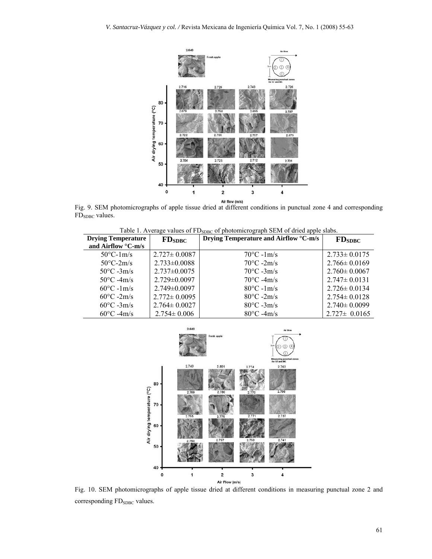

Air flow (m/s)<br>Fig. 9. SEM photomicrographs of apple tissue dried at different conditions in punctual zone 4 and corresponding FD<sub>SDBC</sub> values.

Table 1. Average values of FD<sub>SDBC</sub> of photomicrograph SEM of dried apple slabs.

| <b>Drying Temperature</b>                   | FD <sub>SDBC</sub> | Drying Temperature and Airflow °C-m/s | FD <sub>SDBC</sub> |
|---------------------------------------------|--------------------|---------------------------------------|--------------------|
| and Airflow $\mathrm{^{\circ}C}\text{-m/s}$ |                    |                                       |                    |
| $50^{\circ}$ C-1m/s                         | $2.727 \pm 0.0087$ | $70^{\circ}$ C -1m/s                  | $2.733 \pm 0.0175$ |
| $50^{\circ}$ C-2m/s                         | $2.733 \pm 0.0088$ | $70^{\circ}$ C -2m/s                  | $2.766 \pm 0.0169$ |
| $50^{\circ}$ C -3m/s                        | $2.737 \pm 0.0075$ | $70^{\circ}$ C -3m/s                  | $2.760 \pm 0.0067$ |
| $50^{\circ}$ C -4m/s                        | $2.729 \pm 0.0097$ | $70^{\circ}$ C -4m/s                  | $2.747 \pm 0.0131$ |
| $60^{\circ}$ C -1m/s                        | $2.749 \pm 0.0097$ | $80^{\circ}$ C -1m/s                  | $2.726 \pm 0.0134$ |
| $60^{\circ}$ C -2m/s                        | $2.772 \pm 0.0095$ | $80^{\circ}$ C -2m/s                  | $2.754 \pm 0.0128$ |
| $60^{\circ}$ C -3m/s                        | $2.764 \pm 0.0027$ | $80^{\circ}$ C -3m/s                  | $2.740 \pm 0.0099$ |
| $60^{\circ}$ C -4m/s                        | $2.754 \pm 0.006$  | $80^{\circ}$ C -4m/s                  | $2.727 \pm 0.0165$ |



Fig. 10. SEM photomicrographs of apple tissue dried at different conditions in measuring punctual zone 2 and corresponding FD<sub>SDBC</sub> values.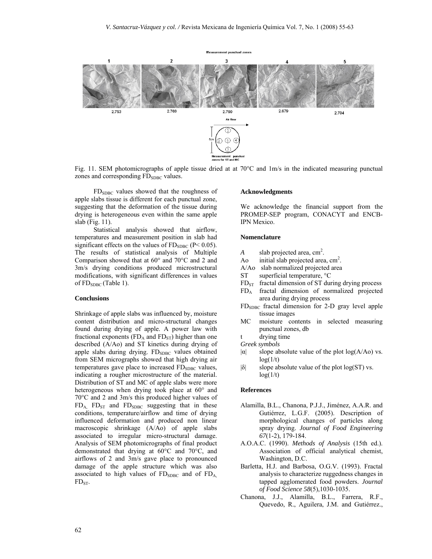

Fig. 11. SEM photomicrographs of apple tissue dried at at 70°C and 1m/s in the indicated measuring punctual zones and corresponding FD<sub>SDBC</sub> values.

 $FD<sub>SDBC</sub>$  values showed that the roughness of apple slabs tissue is different for each punctual zone, suggesting that the deformation of the tissue during drying is heterogeneous even within the same apple slab (Fig. 11).

Statistical analysis showed that airflow, temperatures and measurement position in slab had significant effects on the values of  $FD_{SDBC}$  (P< 0.05). The results of statistical analysis of Multiple Comparison showed that at 60° and 70°C and 2 and 3m/s drying conditions produced microstructural modifications, with significant differences in values of FD<sub>SDBC</sub> (Table 1).

# **Conclusions**

Shrinkage of apple slabs was influenced by, moisture content distribution and micro-structural changes found during drying of apple. A power law with fractional exponents ( $FD_A$  and  $FD_{ST}$ ) higher than one described (A/Ao) and ST kinetics during drying of apple slabs during drying.  $FD<sub>SDBC</sub>$  values obtained from SEM micrographs showed that high drying air temperatures gave place to increased  $FD<sub>SDBC</sub>$  values, indicating a rougher microstructure of the material. Distribution of ST and MC of apple slabs were more heterogeneous when drying took place at 60° and 70°C and 2 and 3m/s this produced higher values of  $FD<sub>A</sub>$ ,  $FD<sub>ST</sub>$  and  $FD<sub>SDBC</sub>$  suggesting that in these conditions, temperature/airflow and time of drying influenced deformation and produced non linear macroscopic shrinkage (A/Ao) of apple slabs associated to irregular micro-structural damage. Analysis of SEM photomicrographs of final product demonstrated that drying at 60°C and 70°C, and airflows of 2 and 3m/s gave place to pronounced damage of the apple structure which was also associated to high values of  $FD<sub>SDBC</sub>$  and of  $FD<sub>A</sub>$ ,  $FD<sub>ST</sub>$ .

#### **Acknowledgments**

We acknowledge the financial support from the PROMEP-SEP program, CONACYT and ENCB-IPN Mexico.

### **Nomenclature**

- *A* slab projected area,  $\text{cm}^2$ .
- Ao initial slab projected area,  $\text{cm}^2$ .
- A/Ao slab normalized projected area
- ST superficial temperature,  $\degree$ C
- $FD<sub>ST</sub>$  fractal dimension of ST during drying process
- FDA fractal dimension of normalized projected area during drying process
- FDSDBC fractal dimension for 2-D gray level apple tissue images
- MC moisture contents in selected measuring punctual zones, db
- t drying time
- *Greek symbols*
- $|\alpha|$  slope absolute value of the plot  $log(A/A_0)$  vs.  $log(1/t)$
- $|\delta|$  slope absolute value of the plot  $log(ST)$  vs.  $log(1/t)$

### **References**

- Alamilla, B.L., Chanona, P.J.J., Jiménez, A.A.R. and Gutiérrez, L.G.F. (2005). Description of morphological changes of particles along spray drying. *Journal of Food Engineering 67*(1-2), 179-184.
- A.O.A.C. (1990). *Methods of Analysis* (15th ed.). Association of official analytical chemist, Washington, D.C.
- Barletta, H.J. and Barbosa, O.G.V. (1993). Fractal analysis to characterize ruggedness changes in tapped agglomerated food powders. *Journal of Food Science 58*(5),1030-1035.
- Chanona, J.J., Alamilla, B.L., Farrera, R.F., Quevedo, R., Aguilera, J.M. and Gutiérrez.,